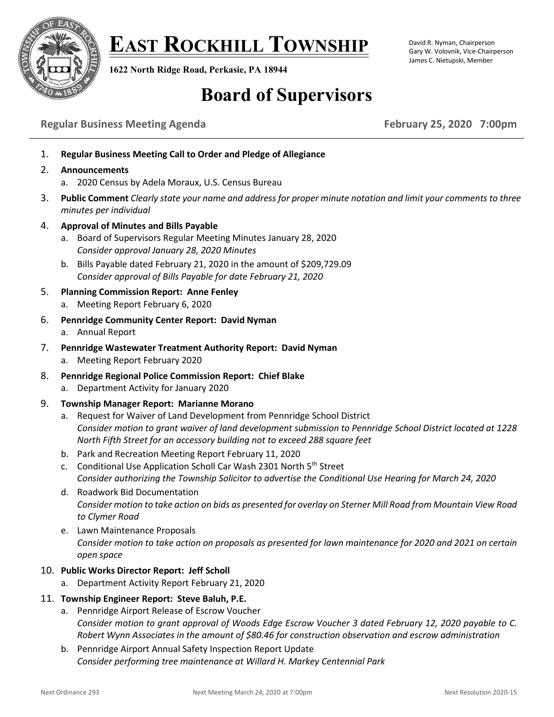

**EAST ROCKHILL TOWNSHIP**

**1622 North Ridge Road, Perkasie, PA 18944**

#### David R. Nyman, Chairperson Gary W. Volovnik, Vice-Chairperson James C. Nietupski, Member

# **Board of Supervisors**

# **Regular Business Meeting Agenda February 25, 2020 7:00pm**

- 1. **Regular Business Meeting Call to Order and Pledge of Allegiance**
- 2. **Announcements**
	- a. 2020 Census by Adela Moraux, U.S. Census Bureau
- 3. **Public Comment** *Clearly state your name and address for proper minute notation and limit your comments to three minutes per individual*
- 4. **Approval of Minutes and Bills Payable**
	- a. Board of Supervisors Regular Meeting Minutes January 28, 2020 *Consider approval January 28, 2020 Minutes*
	- b. Bills Payable dated February 21, 2020 in the amount of \$209,729.09 *Consider approval of Bills Payable for date February 21, 2020*
- 5. **Planning Commission Report: Anne Fenley**
	- a. Meeting Report February 6, 2020
- 6. **Pennridge Community Center Report: David Nyman**
	- a. Annual Report
- 7. **Pennridge Wastewater Treatment Authority Report: David Nyman**
	- a. Meeting Report February 2020
- 8. **Pennridge Regional Police Commission Report: Chief Blake**
	- a. Department Activity for January 2020
- 9. **Township Manager Report: Marianne Morano**
	- a. Request for Waiver of Land Development from Pennridge School District *Consider motion to grant waiver of land development submission to Pennridge School District located at 1228 North Fifth Street for an accessory building not to exceed 288 square feet*
	- b. Park and Recreation Meeting Report February 11, 2020
	- c. Conditional Use Application Scholl Car Wash 2301 North 5<sup>th</sup> Street *Consider authorizing the Township Solicitor to advertise the Conditional Use Hearing for March 24, 2020*
	- d. Roadwork Bid Documentation *Consider motion to take action on bids as presented for overlay on Sterner Mill Road from Mountain View Road to Clymer Road*
	- e. Lawn Maintenance Proposals *Consider motion to take action on proposals as presented for lawn maintenance for 2020 and 2021 on certain open space*

# 10. **Public Works Director Report: Jeff Scholl**

a. Department Activity Report February 21, 2020

### 11. **Township Engineer Report: Steve Baluh, P.E.**

- a. Pennridge Airport Release of Escrow Voucher *Consider motion to grant approval of Woods Edge Escrow Voucher 3 dated February 12, 2020 payable to C. Robert Wynn Associates in the amount of \$80.46 for construction observation and escrow administration*
- b. Pennridge Airport Annual Safety Inspection Report Update *Consider performing tree maintenance at Willard H. Markey Centennial Park*